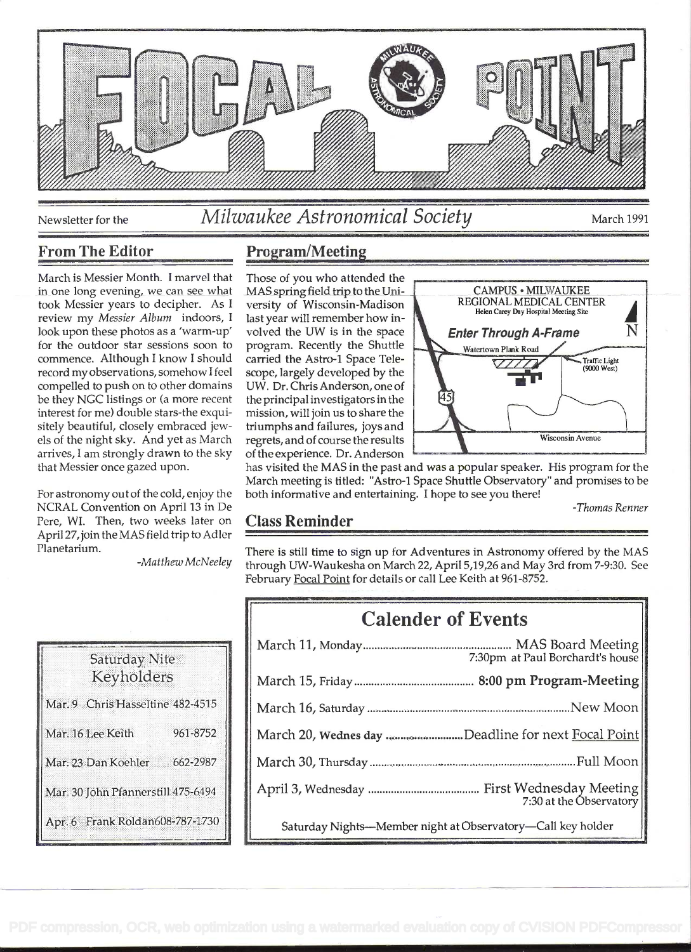

# Newsletter for the Milwaukee Astronomical Society March 1991

## From The Editor

March is Messier Month. I marvel that in one long evening, we can see what took Messier years to decipher. As <sup>I</sup> review my Messier Album indoors, I last year will remember how inlook upon these photos as a 'warm-up' for the outdoor star sessions soon to program. Recently the Shuttle commence. Although I know I should record my observations, somehow I feel compelled to push on to other domains be they NCC listings or (a more recent interest for me) double stars-the exquisitely beautiful, closely embraced jewels of the night sky. And yet as March arrives, I am strongly drawn to the sky that Messier once gazed upon.

For astronomy out of the cold, enjoy the NCRAL Convention on April 13 in De Pere, WI. Then, two weeks later on April 27,join the MAS field trip to Adler Planetarium.

-Matthew McNeeley

## Saturday Nite Keyholders Mar. 9 Chris Hasseltine 482-4515 961-8752 Mar. 16 Lee Keith Mar. 23 Dan Koehler 662-2987 Mar. 30 John Pfannerstill 475-6494 Apr. 6 Frank Roldan608-787-1730

### Program/Meeting

Those of you who attended the volved the UW is in the space scope, largely developed by the UW. Dr. Chris Anderson, one of the principal investigators in the mission, will join us to share the triumphs and failures, joys and of the experience. Dr. Anderson



has visited the MAS in the past and was a popular speaker. His program for the March meeting is titled: "Astro-I Space Shuttle Observatory" and promises to be both informative and entertaining. I hope to see you there!

-Thomas Renner

#### Class Reminder

There is still time to sign up for Adventures in Astronomy offered by the MAS through UW-Waukesha on March 22, April 5,19,26 and May 3rd from 7-9:30. See February Focal Point for details or call Lee Keith at 961-8752.

| <b>Calender of Events</b> |                                                             |
|---------------------------|-------------------------------------------------------------|
|                           | 7:30pm at Paul Borchardt's house                            |
|                           |                                                             |
|                           |                                                             |
|                           | March 20, Wednes day Deadline for next Focal Point          |
|                           |                                                             |
|                           | 7:30 at the Observatory                                     |
|                           | Saturday Nights-Member night at Observatory-Call key holder |